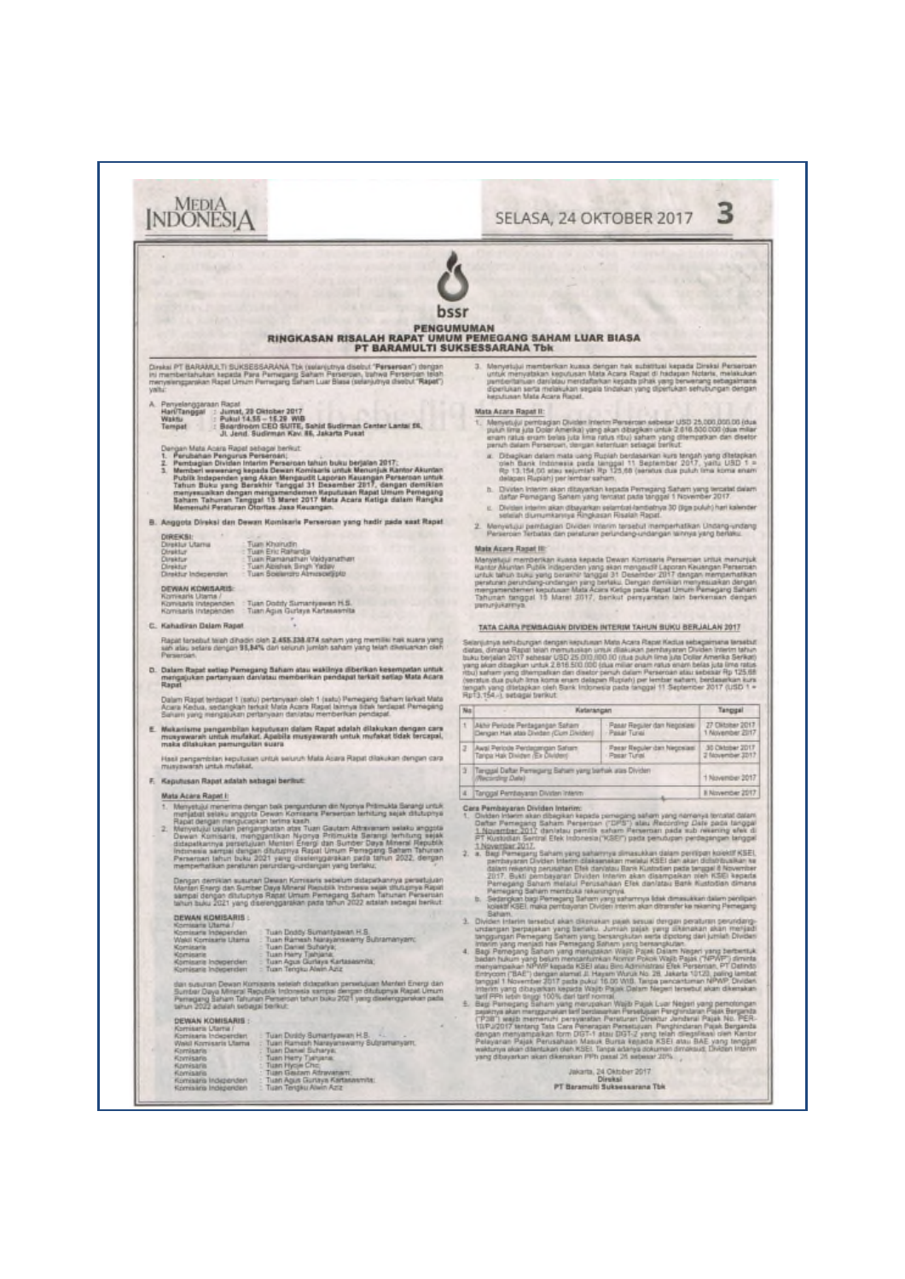| RINGKASAN RISALAH RAPAT UMUM PEMEGANG SAHAM LUAR BIASA                                                                                                                                                                                                                                                                                                                                                                                                                                                                                                                                                                                                                                                                                                                                                                                                                                                                                                                                                                                                                                                                                                                                                                                                                                                                                                                                                                                                                                                                                                                                                                                                                                                                                                                                                                                                                                                                                                                                                                                                                                                                                                                                                                                                                                                                                                                                                                                                                                                                                                                                                                                                                                                                                                                                                                                                                                                                                                                                                                                                                                                                                                                                                                                                                                                                                                                                                                                                                                                                                                                                                                                                                                                                          |                                                                           |                  |                                                                                                                                                                                                                                                                                                                                                                                                                                                                                                                                                                                                                                                                                      |                                                                           |                                                                                                                                                                                                                                                                                                                                                                                                                                                                                                          |
|---------------------------------------------------------------------------------------------------------------------------------------------------------------------------------------------------------------------------------------------------------------------------------------------------------------------------------------------------------------------------------------------------------------------------------------------------------------------------------------------------------------------------------------------------------------------------------------------------------------------------------------------------------------------------------------------------------------------------------------------------------------------------------------------------------------------------------------------------------------------------------------------------------------------------------------------------------------------------------------------------------------------------------------------------------------------------------------------------------------------------------------------------------------------------------------------------------------------------------------------------------------------------------------------------------------------------------------------------------------------------------------------------------------------------------------------------------------------------------------------------------------------------------------------------------------------------------------------------------------------------------------------------------------------------------------------------------------------------------------------------------------------------------------------------------------------------------------------------------------------------------------------------------------------------------------------------------------------------------------------------------------------------------------------------------------------------------------------------------------------------------------------------------------------------------------------------------------------------------------------------------------------------------------------------------------------------------------------------------------------------------------------------------------------------------------------------------------------------------------------------------------------------------------------------------------------------------------------------------------------------------------------------------------------------------------------------------------------------------------------------------------------------------------------------------------------------------------------------------------------------------------------------------------------------------------------------------------------------------------------------------------------------------------------------------------------------------------------------------------------------------------------------------------------------------------------------------------------------------------------------------------------------------------------------------------------------------------------------------------------------------------------------------------------------------------------------------------------------------------------------------------------------------------------------------------------------------------------------------------------------------------------------------------------------------------------------------------------------------|---------------------------------------------------------------------------|------------------|--------------------------------------------------------------------------------------------------------------------------------------------------------------------------------------------------------------------------------------------------------------------------------------------------------------------------------------------------------------------------------------------------------------------------------------------------------------------------------------------------------------------------------------------------------------------------------------------------------------------------------------------------------------------------------------|---------------------------------------------------------------------------|----------------------------------------------------------------------------------------------------------------------------------------------------------------------------------------------------------------------------------------------------------------------------------------------------------------------------------------------------------------------------------------------------------------------------------------------------------------------------------------------------------|
| PT BARAMULTI SUK5ESSARANA Tbk                                                                                                                                                                                                                                                                                                                                                                                                                                                                                                                                                                                                                                                                                                                                                                                                                                                                                                                                                                                                                                                                                                                                                                                                                                                                                                                                                                                                                                                                                                                                                                                                                                                                                                                                                                                                                                                                                                                                                                                                                                                                                                                                                                                                                                                                                                                                                                                                                                                                                                                                                                                                                                                                                                                                                                                                                                                                                                                                                                                                                                                                                                                                                                                                                                                                                                                                                                                                                                                                                                                                                                                                                                                                                                   | Menyetujui memberkan kuasa dengan hak substitusi kepada Direksi Perseroan |                  |                                                                                                                                                                                                                                                                                                                                                                                                                                                                                                                                                                                                                                                                                      |                                                                           |                                                                                                                                                                                                                                                                                                                                                                                                                                                                                                          |
| Direksi PT BARAMULTI SUKSESSARANA Tbk (selarijutnya diseltut "Perserean") dengan<br>Ini memberitahukan kepada Para Pemegang Saham Perseroan, trahwa Perserpan telah<br>з.<br>untuk menyatakan keputusan Mata Acara Rapat di hadapan Notaria, melakukan<br>penteritanuan daniatau mendaftahan kepada pihak yang berwerang sebagaimana<br>menyelengganakan Rapat Umum Pernegang Saham Luar Blasa (selanjutnya disebut "Rapat")<br>diperlukan serta melakukan segala tindakan yang dipertukan sehubungan dengan<br>keputusan Mata Acara Rapat.<br>Mata Acara Rapat II:<br>Menyetujul perribagian Dividen Interim Persenan sebesar USD 25,000,000.00 (dua)<br>puluh lima juta Dolar Amerika) yang akan dibagikan untuk 2.616.500.000 (dua miliar<br>eram ratus erram belas juta lima ratus ribu) saham yang ditempatkan dan disetor<br>penuh dalam Perseroan, dengan keterituan sebagai berikut.<br>Ditegikan dalam mata uang Rupiah berdakankan kura tengah yang ditetapkan<br>'oleh Bank Indonesia pada tenggal 11 Septembar 2017, yantu USD 1 =<br>Rp 13.154,00 stau sejumlah Rp 125,60 (senious dua puluh lima koma anam<br>Pembagian Dividen Interim Perseroan tahun buku berjalan 2017:<br>Memberi wewenang kepada Dewan Komisaris untuk Menunjuk Kantor Akuntan<br>Publik Independen yang Akan Mengacuti Laporan Kauangan Persecoan untuk Tahun Buku yang Berakhir Tanggal 31 Bekenter Zeng Umum Persegang Dentitien dengan mengangkan Salam Persegang Dentitien Tanggal 15 Mars 2017 Mata Acara<br>delapan Rupiah) per lembar saham.<br>b. Dividen Interim akon dibayarkan kepada Pernegang Saham yang tercebit dalam<br>dafter Pernegang Saham yang tercatat pada tanggal 1 November 2017.<br>c. Division interim akan dibayarkan selambal fambatnya 30 (siga puluh) hari kalender<br>seleiah diumumkannya Ringkasan Risalah Rapat.<br>B. Anggota Direksi dan Dewan Komisaris Perseroan yang hadir pada saat Rapat.<br>Menyetujui pembagian Dividen Interim tersebut memperhatikan Undang-undang<br>2.<br>Perseroan Terbatas dan paraturan perundang-undangan tannya yang berlaku.<br><b>Mata Acara Rapat III:</b><br>Merwelujui memberikan kuwa kepada Dewan Komaania Perseroan Irriuk menunjuk<br>Rantor Akuntan Publik Independen yang akan mengeudit Laporan Keuangan Perseroan<br>untuk tahun zuku yang berakhir tanggal 31 Desember 2017 dengan memperhatikan<br>peraturan perundang-undangan yang berlaku. Dengan demikian menyesialkan dengan<br>mengamendemen keputusan Mata Acara Ketiga pada Rapat Umum Pamegang Saham.<br>Tahunan tanggal 15 Maret 2017, berikut persyaratan lain berkeruan dengan<br><b>импитуакаттуа</b>                                                                                                                                                                                                                                                                                                                                                                                                                                                                                                                                                                                                                                                                                                                                                                                                                                                                                                                                                                                                                                                                                     |                                                                           |                  |                                                                                                                                                                                                                                                                                                                                                                                                                                                                                                                                                                                                                                                                                      |                                                                           |                                                                                                                                                                                                                                                                                                                                                                                                                                                                                                          |
|                                                                                                                                                                                                                                                                                                                                                                                                                                                                                                                                                                                                                                                                                                                                                                                                                                                                                                                                                                                                                                                                                                                                                                                                                                                                                                                                                                                                                                                                                                                                                                                                                                                                                                                                                                                                                                                                                                                                                                                                                                                                                                                                                                                                                                                                                                                                                                                                                                                                                                                                                                                                                                                                                                                                                                                                                                                                                                                                                                                                                                                                                                                                                                                                                                                                                                                                                                                                                                                                                                                                                                                                                                                                                                                                 |                                                                           |                  |                                                                                                                                                                                                                                                                                                                                                                                                                                                                                                                                                                                                                                                                                      | TATA CARA PEMBAGIAN DIVIDEN INTERIM TAHUN BUKU BERJALAN 2017              |                                                                                                                                                                                                                                                                                                                                                                                                                                                                                                          |
|                                                                                                                                                                                                                                                                                                                                                                                                                                                                                                                                                                                                                                                                                                                                                                                                                                                                                                                                                                                                                                                                                                                                                                                                                                                                                                                                                                                                                                                                                                                                                                                                                                                                                                                                                                                                                                                                                                                                                                                                                                                                                                                                                                                                                                                                                                                                                                                                                                                                                                                                                                                                                                                                                                                                                                                                                                                                                                                                                                                                                                                                                                                                                                                                                                                                                                                                                                                                                                                                                                                                                                                                                                                                                                                                 |                                                                           |                  | Selanjutnya sehubungan dengan keputusan Mata Acata Rapat Kedua sebegaimana tersebut<br>diatas, dimana Rapat telah memutuskan untuk dilakukan pembayaran Dividen Intertm tahun<br>buku berjalan 2017 sebesar USD 25 010,000.10 (itus puluh lima juta Dollar Amerika Serikat)<br>yang akan dibagikan untuk 2.816.500.000 (dua miliar enam ratus enam belas juta lima ratus<br>rtbu) safram yang ditempatkan dan disebir peruh dalam Perseroan atau sebesar Rp 125,68<br>(seratus dua puluh lima koma eram delapan Rupiafr) per lembar saham, berdasarkan kura<br>tengah yang ditetapkan oleh Bank Indonesia pada tenggal 11 September 2017 (USD 1 =<br>RpT3.154.-), set-agai trenivut. |                                                                           |                                                                                                                                                                                                                                                                                                                                                                                                                                                                                                          |
|                                                                                                                                                                                                                                                                                                                                                                                                                                                                                                                                                                                                                                                                                                                                                                                                                                                                                                                                                                                                                                                                                                                                                                                                                                                                                                                                                                                                                                                                                                                                                                                                                                                                                                                                                                                                                                                                                                                                                                                                                                                                                                                                                                                                                                                                                                                                                                                                                                                                                                                                                                                                                                                                                                                                                                                                                                                                                                                                                                                                                                                                                                                                                                                                                                                                                                                                                                                                                                                                                                                                                                                                                                                                                                                                 |                                                                           |                  | Katarangan                                                                                                                                                                                                                                                                                                                                                                                                                                                                                                                                                                                                                                                                           |                                                                           | Tanggal                                                                                                                                                                                                                                                                                                                                                                                                                                                                                                  |
|                                                                                                                                                                                                                                                                                                                                                                                                                                                                                                                                                                                                                                                                                                                                                                                                                                                                                                                                                                                                                                                                                                                                                                                                                                                                                                                                                                                                                                                                                                                                                                                                                                                                                                                                                                                                                                                                                                                                                                                                                                                                                                                                                                                                                                                                                                                                                                                                                                                                                                                                                                                                                                                                                                                                                                                                                                                                                                                                                                                                                                                                                                                                                                                                                                                                                                                                                                                                                                                                                                                                                                                                                                                                                                                                 |                                                                           |                  | Akhir Periode Perdagangan Saharn<br>Dengan Hak atas Dividen (Cum Dividen)<br>Awal Periode Perdagangan Safurn                                                                                                                                                                                                                                                                                                                                                                                                                                                                                                                                                                         | Pasar Reguler dan Negoslasi<br>Pasar Tunsi<br>Pasar Reguler dan Negosiasi | 27 Clicober 2017<br>1 November 2017<br>30 CMbber 2017                                                                                                                                                                                                                                                                                                                                                                                                                                                    |
|                                                                                                                                                                                                                                                                                                                                                                                                                                                                                                                                                                                                                                                                                                                                                                                                                                                                                                                                                                                                                                                                                                                                                                                                                                                                                                                                                                                                                                                                                                                                                                                                                                                                                                                                                                                                                                                                                                                                                                                                                                                                                                                                                                                                                                                                                                                                                                                                                                                                                                                                                                                                                                                                                                                                                                                                                                                                                                                                                                                                                                                                                                                                                                                                                                                                                                                                                                                                                                                                                                                                                                                                                                                                                                                                 |                                                                           |                  | Taripa Hak Dividen (Ex Dividen)                                                                                                                                                                                                                                                                                                                                                                                                                                                                                                                                                                                                                                                      | Pasar Tural                                                               | 2 November 3017                                                                                                                                                                                                                                                                                                                                                                                                                                                                                          |
| Tanggal Dafter Perregang Baham yang barhak atas Dividen                                                                                                                                                                                                                                                                                                                                                                                                                                                                                                                                                                                                                                                                                                                                                                                                                                                                                                                                                                                                                                                                                                                                                                                                                                                                                                                                                                                                                                                                                                                                                                                                                                                                                                                                                                                                                                                                                                                                                                                                                                                                                                                                                                                                                                                                                                                                                                                                                                                                                                                                                                                                                                                                                                                                                                                                                                                                                                                                                                                                                                                                                                                                                                                                                                                                                                                                                                                                                                                                                                                                                                                                                                                                         |                                                                           | 1 November 2017  |                                                                                                                                                                                                                                                                                                                                                                                                                                                                                                                                                                                                                                                                                      |                                                                           |                                                                                                                                                                                                                                                                                                                                                                                                                                                                                                          |
| 4. Tanggal Pembayaran Dividen Interim                                                                                                                                                                                                                                                                                                                                                                                                                                                                                                                                                                                                                                                                                                                                                                                                                                                                                                                                                                                                                                                                                                                                                                                                                                                                                                                                                                                                                                                                                                                                                                                                                                                                                                                                                                                                                                                                                                                                                                                                                                                                                                                                                                                                                                                                                                                                                                                                                                                                                                                                                                                                                                                                                                                                                                                                                                                                                                                                                                                                                                                                                                                                                                                                                                                                                                                                                                                                                                                                                                                                                                                                                                                                                           |                                                                           | Il November 2017 |                                                                                                                                                                                                                                                                                                                                                                                                                                                                                                                                                                                                                                                                                      |                                                                           |                                                                                                                                                                                                                                                                                                                                                                                                                                                                                                          |
| Menyetujui menerima dengan baik pengunduran din Nyonya Pritimukla Sarangi untuk<br>Cara Pembayaran Dividen Interim:<br>merijatist selaku anggota Dewan Komisans Perserpan terhitung sejak ditutupnya<br>Diskten khermakan dibegitan kepada persepang saham yang namanya tensaki dalam<br>Daftar Pemerjang Saham Perseroan ("DPS") alau Perdorohny Dafta pada tenggar<br>1 November 2017 daniatau pemilik saham Perseroan pada sub resering a<br>Rapat dengan mengucapkan terima kash.<br>Menyelujui usulan pengangkatan atas Tuan Gautam Altraxariam selaku anggota<br>2<br>Dewer Komsans, menggantkan Nyonya Promuks Serangi terhitorg sejak<br>didapatkannya penerisian Menteri Erengi dan Suntor Deya Mineral Republik<br>Indonesia serasa dengan ditutunya Rapat Umum Pernagang Saham Tahuran<br>PT Kustudian Sentral Efek Indonesia ("KSEI") pada perudupan perdepangan tanggal<br>1.Navember 2017<br>a. Bag Pemegang Saham yang saharnnya dimasukkan dalam peritipan kolektif KSEL<br>Persersen tahun buku 2021 yang diselenggarakan pada tahun 2022, dengan<br>pambayaran Dividen Interm dilaksanakan melalui KSEI dan akan didistribusikan ke<br>memperhatikan penduran peruridang-undangan yang berlaku;<br>dalam rekening perusahan Efek dan/atau Bank Kustodian pada tenggal 8 November<br>2017. Bukti pembayaran Dividen Interim akan disampaikan pleh KSEI kepada<br>Dengan demiklari susunan Dewan Komisaris sebelum didapatkannya persetujuan<br>Perregang Saham melalui Perusahaan Elek dan/atau Bank Kustodian dimana<br>Manteri Energi dan Sumber Daya Mineral Riepublik Indonesia sejak ditutupnya Rapati<br>Pemegang Saham membuka rekeningnya.<br>sampai dengan ditutupnya Rapat Umum Pemegang Saham Tahunan Persersan<br>tahun buku 2021 yang diselenggarakan pada tahun 2022 adalah sebagai berkut<br>Sedangkan bagi Pemegang Saham yang saharnnya lidak dimasukkan dalam penlipan<br>kolektif KSEI, maka peritayaran Dividen Interim akan ditransfer ke rekening Pemegang.<br><b>Baham.</b><br>DEWAN KOMISARIS :<br>3. Dividen Interim tersebut akan dikenakan pajak sesuai dengan peraturan perundang-<br>Komisaris Utama<br>undergan berpajakan yang berlaku. Jumlah pajak yang dikenakan akan menjadi<br>Tuan Doddy Sumartyawan H.S.<br>Komisaris Independen<br>tenggungan Pernegang Seham yang bersangkutan aerta dipotong dari jumlah Divides<br>Tuan Ramesh Narayanswamy Butstamanyam:<br>Wakil Komisaria Utama<br>Imarim yang menjadi has Pemegang Saham yang bersangkutan.<br>4. Bagi Pemegang Saham yang merupakan Wajib Pajak Dalam Negeri yang berbentuk.<br>Tuan Daniel Subarya;<br>Komisaria.<br>Tuan Herry Tjehjene:<br>Tuan Agus Gurleys Kartasasmita;<br>Komisierie<br>badan hukum yang belum mencantumkan Nomor Pokok Wajib Pajak ("NPWP") diminta<br>menyampaikan NPWP kepada KSEI atau Biro Administrasi Efek Perseman, PT Datinito<br>Komisarie Inovoerden<br>Tuan Tengku Alwin Aziz<br>Komisaria Independen<br>Entrycom ("BAE") dengan alamat JI. Hayam Wuruk No. 28. Jakarta 10120, paling lambat<br>tanggal 1 November 2017 pada pukul 16.00 WiB, Tanpa pencantuman NPWP, Dividen<br>das susuran Dewan Komiserts setelah didapatkan pensetujuan Menteri Energi dan<br>Interim yang dibayarkan kepada Wajib Pajak Dalam Neperi tersebut akan dikenakan<br>Sumber Daya Mireral Republik Indonesia sampai dengan ditubunya Rapat Umum<br>Pemagang Saham Tahunan Perseroan tahun buku 2021 yang diselengganakan pada<br>ant FFR letch tinggi 100% dari tant nomrai.<br>회<br>Bagi Pernegang Saham yang merupakan Wajib Pajak Luar Negeri yang pemotongan<br>tehun 2022 adalah sebagai berikut:<br>pajaknya akan menggunakan tarif berdasarkan Persetujuan Penghindaran Pajak Berganda |                                                                           |                  |                                                                                                                                                                                                                                                                                                                                                                                                                                                                                                                                                                                                                                                                                      |                                                                           |                                                                                                                                                                                                                                                                                                                                                                                                                                                                                                          |
|                                                                                                                                                                                                                                                                                                                                                                                                                                                                                                                                                                                                                                                                                                                                                                                                                                                                                                                                                                                                                                                                                                                                                                                                                                                                                                                                                                                                                                                                                                                                                                                                                                                                                                                                                                                                                                                                                                                                                                                                                                                                                                                                                                                                                                                                                                                                                                                                                                                                                                                                                                                                                                                                                                                                                                                                                                                                                                                                                                                                                                                                                                                                                                                                                                                                                                                                                                                                                                                                                                                                                                                                                                                                                                                                 |                                                                           |                  |                                                                                                                                                                                                                                                                                                                                                                                                                                                                                                                                                                                                                                                                                      |                                                                           |                                                                                                                                                                                                                                                                                                                                                                                                                                                                                                          |
|                                                                                                                                                                                                                                                                                                                                                                                                                                                                                                                                                                                                                                                                                                                                                                                                                                                                                                                                                                                                                                                                                                                                                                                                                                                                                                                                                                                                                                                                                                                                                                                                                                                                                                                                                                                                                                                                                                                                                                                                                                                                                                                                                                                                                                                                                                                                                                                                                                                                                                                                                                                                                                                                                                                                                                                                                                                                                                                                                                                                                                                                                                                                                                                                                                                                                                                                                                                                                                                                                                                                                                                                                                                                                                                                 |                                                                           |                  |                                                                                                                                                                                                                                                                                                                                                                                                                                                                                                                                                                                                                                                                                      |                                                                           | "P38") wajb memeruhi persyaratan Persturan Direktur Jendarai Pajak No. PER-<br>19/PJ/2017 tentang Tata Cara Penerapan Persetujuan Panghindaran Pajak Berganda<br>dengan menyampaikan form DGT-1 atau DGT-2 yang telah dilegalisasi cien Kantor<br>Pelayaran Pajak Perusahaan Masuk Bursa kejada KSEI atau BAE yang tenggan<br>waktunya akan ditentukan oleh KSEI. Tanpa adanya dokumen dimaksud, Dividen Interim<br>yang dibayarkan akan dikenakan PPh pasal 24 sebesar 20%<br>Jakarta, 24 Oktober 2017. |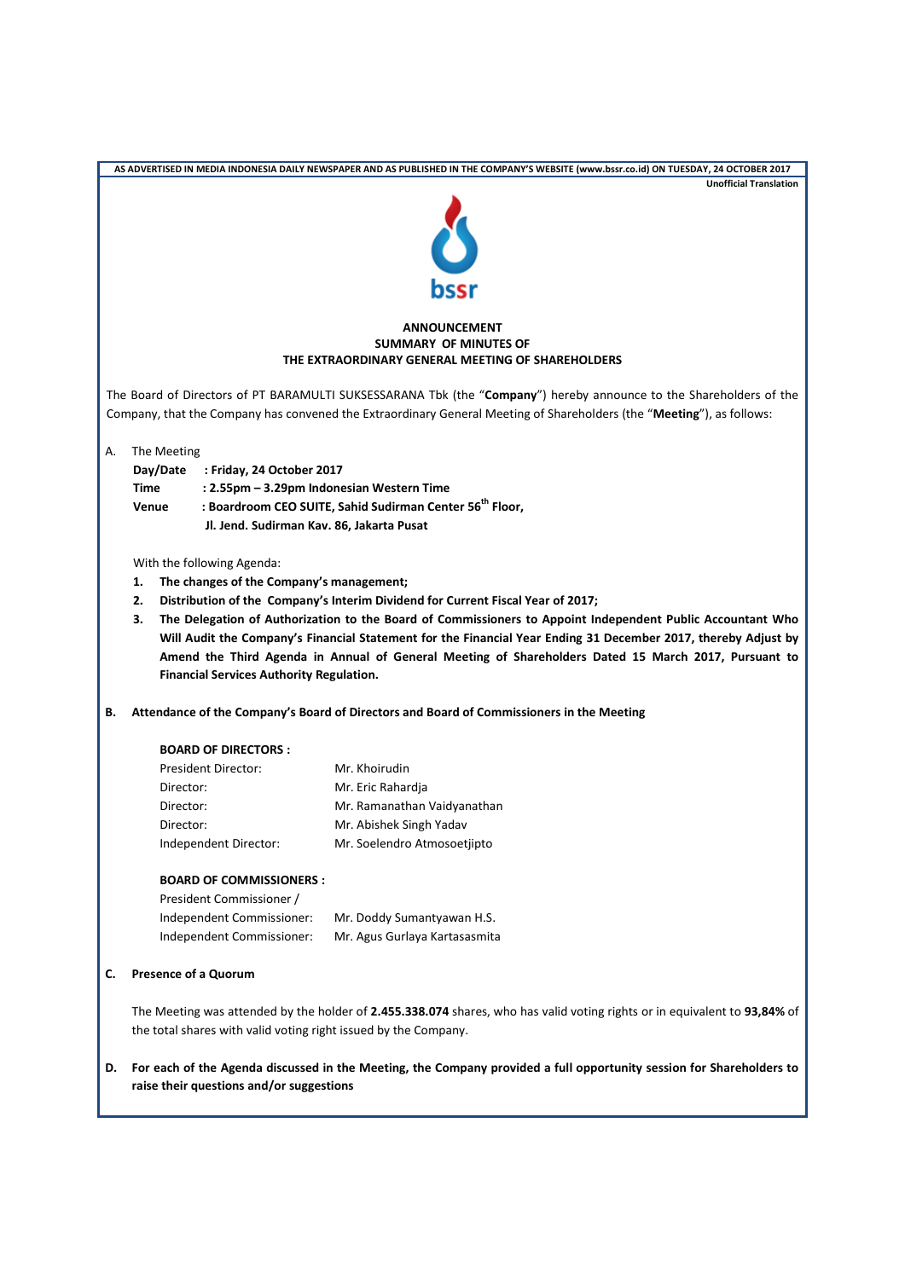| AS ADVERTISED IN MEDIA INDONESIA DAILY NEWSPAPER AND AS PUBLISHED IN THE COMPANY'S WEBSITE (www.bssr.co.id) ON TUESDAY, 24 OCTOBER 2017 |                                                                                                                                                                                              |                                                 |                                                                                                                                                                                                                                             |  |  |  |  |
|-----------------------------------------------------------------------------------------------------------------------------------------|----------------------------------------------------------------------------------------------------------------------------------------------------------------------------------------------|-------------------------------------------------|---------------------------------------------------------------------------------------------------------------------------------------------------------------------------------------------------------------------------------------------|--|--|--|--|
|                                                                                                                                         | <b>Unofficial Translation</b>                                                                                                                                                                |                                                 |                                                                                                                                                                                                                                             |  |  |  |  |
|                                                                                                                                         | <b>C</b><br>bssr                                                                                                                                                                             |                                                 |                                                                                                                                                                                                                                             |  |  |  |  |
|                                                                                                                                         |                                                                                                                                                                                              |                                                 |                                                                                                                                                                                                                                             |  |  |  |  |
| <b>ANNOUNCEMENT</b><br><b>SUMMARY OF MINUTES OF</b><br>THE EXTRAORDINARY GENERAL MEETING OF SHAREHOLDERS                                |                                                                                                                                                                                              |                                                 |                                                                                                                                                                                                                                             |  |  |  |  |
|                                                                                                                                         |                                                                                                                                                                                              |                                                 |                                                                                                                                                                                                                                             |  |  |  |  |
|                                                                                                                                         |                                                                                                                                                                                              |                                                 | The Board of Directors of PT BARAMULTI SUKSESSARANA Tbk (the "Company") hereby announce to the Shareholders of the<br>Company, that the Company has convened the Extraordinary General Meeting of Shareholders (the "Meeting"), as follows: |  |  |  |  |
| А.                                                                                                                                      | The Meeting                                                                                                                                                                                  |                                                 |                                                                                                                                                                                                                                             |  |  |  |  |
|                                                                                                                                         | Day/Date                                                                                                                                                                                     | Friday, 24 October 2017:                        |                                                                                                                                                                                                                                             |  |  |  |  |
|                                                                                                                                         | Time                                                                                                                                                                                         |                                                 | : 2.55pm - 3.29pm Indonesian Western Time                                                                                                                                                                                                   |  |  |  |  |
|                                                                                                                                         | Venue                                                                                                                                                                                        |                                                 | : Boardroom CEO SUITE, Sahid Sudirman Center 56 <sup>th</sup> Floor,                                                                                                                                                                        |  |  |  |  |
|                                                                                                                                         |                                                                                                                                                                                              | Jl. Jend. Sudirman Kav. 86, Jakarta Pusat       |                                                                                                                                                                                                                                             |  |  |  |  |
|                                                                                                                                         |                                                                                                                                                                                              | With the following Agenda:                      |                                                                                                                                                                                                                                             |  |  |  |  |
|                                                                                                                                         | 1.                                                                                                                                                                                           | The changes of the Company's management;        |                                                                                                                                                                                                                                             |  |  |  |  |
|                                                                                                                                         | 2.                                                                                                                                                                                           |                                                 | Distribution of the Company's Interim Dividend for Current Fiscal Year of 2017;                                                                                                                                                             |  |  |  |  |
|                                                                                                                                         | 3.                                                                                                                                                                                           |                                                 | The Delegation of Authorization to the Board of Commissioners to Appoint Independent Public Accountant Who                                                                                                                                  |  |  |  |  |
|                                                                                                                                         |                                                                                                                                                                                              |                                                 | Will Audit the Company's Financial Statement for the Financial Year Ending 31 December 2017, thereby Adjust by                                                                                                                              |  |  |  |  |
|                                                                                                                                         |                                                                                                                                                                                              |                                                 | Amend the Third Agenda in Annual of General Meeting of Shareholders Dated 15 March 2017, Pursuant to                                                                                                                                        |  |  |  |  |
|                                                                                                                                         |                                                                                                                                                                                              | <b>Financial Services Authority Regulation.</b> |                                                                                                                                                                                                                                             |  |  |  |  |
| В.                                                                                                                                      | Attendance of the Company's Board of Directors and Board of Commissioners in the Meeting                                                                                                     |                                                 |                                                                                                                                                                                                                                             |  |  |  |  |
|                                                                                                                                         |                                                                                                                                                                                              | <b>BOARD OF DIRECTORS:</b>                      |                                                                                                                                                                                                                                             |  |  |  |  |
|                                                                                                                                         |                                                                                                                                                                                              | <b>President Director:</b>                      | Mr. Khoirudin                                                                                                                                                                                                                               |  |  |  |  |
|                                                                                                                                         | Director:                                                                                                                                                                                    |                                                 | Mr. Eric Rahardja                                                                                                                                                                                                                           |  |  |  |  |
|                                                                                                                                         | Director:                                                                                                                                                                                    |                                                 | Mr. Ramanathan Vaidyanathan                                                                                                                                                                                                                 |  |  |  |  |
|                                                                                                                                         | Director:                                                                                                                                                                                    |                                                 | Mr. Abishek Singh Yadav                                                                                                                                                                                                                     |  |  |  |  |
|                                                                                                                                         |                                                                                                                                                                                              | Independent Director:                           | Mr. Soelendro Atmosoetjipto                                                                                                                                                                                                                 |  |  |  |  |
|                                                                                                                                         |                                                                                                                                                                                              | <b>BOARD OF COMMISSIONERS:</b>                  |                                                                                                                                                                                                                                             |  |  |  |  |
|                                                                                                                                         |                                                                                                                                                                                              | President Commissioner /                        |                                                                                                                                                                                                                                             |  |  |  |  |
|                                                                                                                                         |                                                                                                                                                                                              | Independent Commissioner:                       | Mr. Doddy Sumantyawan H.S.                                                                                                                                                                                                                  |  |  |  |  |
|                                                                                                                                         |                                                                                                                                                                                              | Independent Commissioner:                       | Mr. Agus Gurlaya Kartasasmita                                                                                                                                                                                                               |  |  |  |  |
| c.                                                                                                                                      | <b>Presence of a Quorum</b>                                                                                                                                                                  |                                                 |                                                                                                                                                                                                                                             |  |  |  |  |
|                                                                                                                                         | The Meeting was attended by the holder of 2.455.338.074 shares, who has valid voting rights or in equivalent to 93,84% of<br>the total shares with valid voting right issued by the Company. |                                                 |                                                                                                                                                                                                                                             |  |  |  |  |
| D.                                                                                                                                      |                                                                                                                                                                                              | raise their questions and/or suggestions        | For each of the Agenda discussed in the Meeting, the Company provided a full opportunity session for Shareholders to                                                                                                                        |  |  |  |  |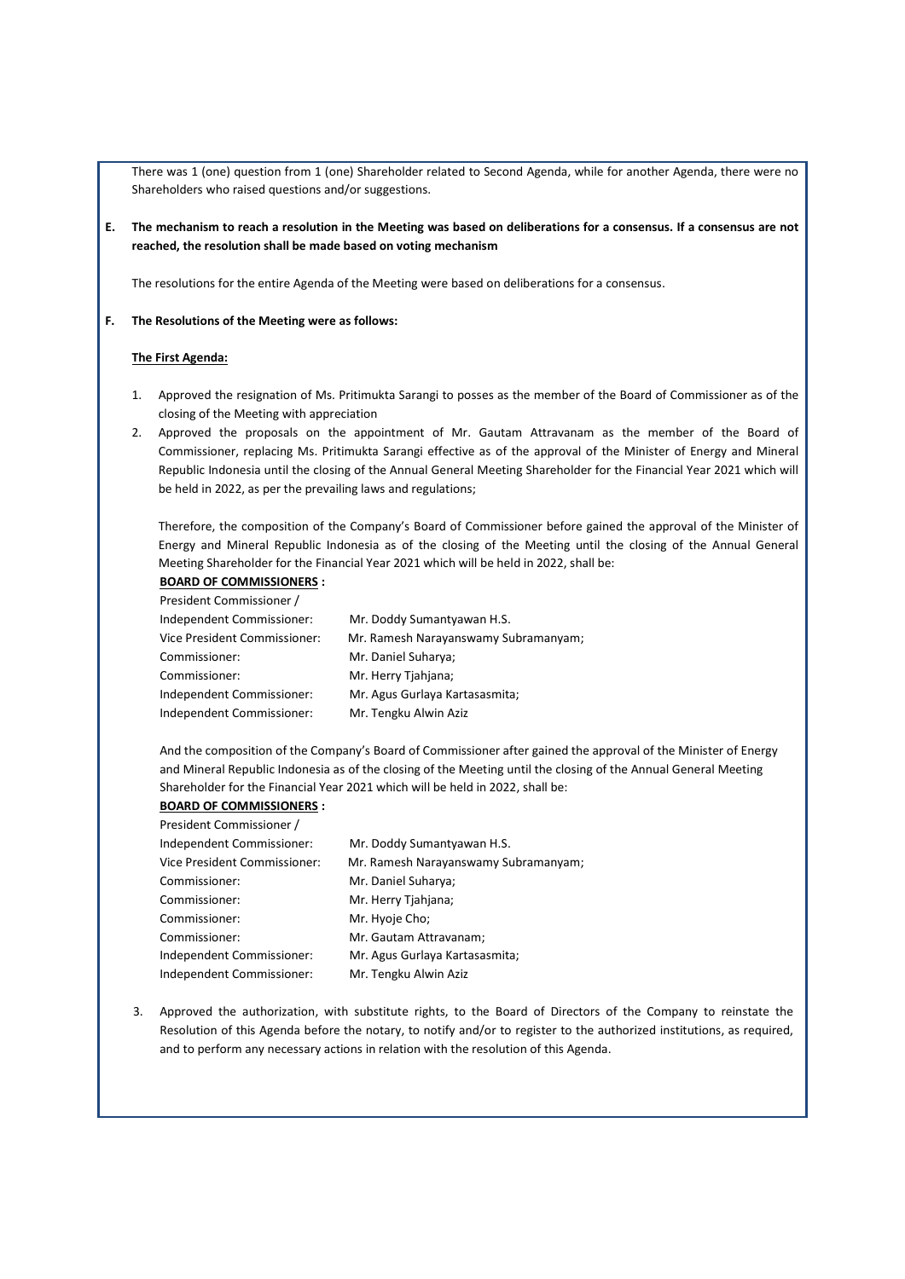There was 1 (one) question from 1 (one) Shareholder related to Second Agenda, while for another Agenda, there were no Shareholders who raised questions and/or suggestions.

**E. The mechanism to reach a resolution in the Meeting was based on deliberations for a consensus. If a consensus are not reached, the resolution shall be made based on voting mechanism**

The resolutions for the entire Agenda of the Meeting were based on deliberations for a consensus.

#### **F. The Resolutions of the Meeting were as follows:**

### **The First Agenda:**

- 1. Approved the resignation of Ms. Pritimukta Sarangi to posses as the member of the Board of Commissioner as of the closing of the Meeting with appreciation
- 2. Approved the proposals on the appointment of Mr. Gautam Attravanam as the member of the Board of Commissioner, replacing Ms. Pritimukta Sarangi effective as of the approval of the Minister of Energy and Mineral Republic Indonesia until the closing of the Annual General Meeting Shareholder for the Financial Year 2021 which will be held in 2022, as per the prevailing laws and regulations;

Therefore, the composition of the Company's Board of Commissioner before gained the approval of the Minister of Energy and Mineral Republic Indonesia as of the closing of the Meeting until the closing of the Annual General Meeting Shareholder for the Financial Year 2021 which will be held in 2022, shall be:

**BOARD OF COMMISSIONERS :**

| President Commissioner /     |                                      |
|------------------------------|--------------------------------------|
| Independent Commissioner:    | Mr. Doddy Sumantyawan H.S.           |
| Vice President Commissioner: | Mr. Ramesh Narayanswamy Subramanyam; |
| Commissioner:                | Mr. Daniel Suharya;                  |
| Commissioner:                | Mr. Herry Tjahjana;                  |
| Independent Commissioner:    | Mr. Agus Gurlaya Kartasasmita;       |
| Independent Commissioner:    | Mr. Tengku Alwin Aziz                |
|                              |                                      |

And the composition of the Company's Board of Commissioner after gained the approval of the Minister of Energy and Mineral Republic Indonesia as of the closing of the Meeting until the closing of the Annual General Meeting Shareholder for the Financial Year 2021 which will be held in 2022, shall be:

# **BOARD OF COMMISSIONERS :**

| President Commissioner /     |                                      |
|------------------------------|--------------------------------------|
| Independent Commissioner:    | Mr. Doddy Sumantyawan H.S.           |
| Vice President Commissioner: | Mr. Ramesh Narayanswamy Subramanyam; |
| Commissioner:                | Mr. Daniel Suharya;                  |
| Commissioner:                | Mr. Herry Tjahjana;                  |
| Commissioner:                | Mr. Hyoje Cho;                       |
| Commissioner:                | Mr. Gautam Attravanam;               |
| Independent Commissioner:    | Mr. Agus Gurlaya Kartasasmita;       |
| Independent Commissioner:    | Mr. Tengku Alwin Aziz                |

3. Approved the authorization, with substitute rights, to the Board of Directors of the Company to reinstate the Resolution of this Agenda before the notary, to notify and/or to register to the authorized institutions, as required, and to perform any necessary actions in relation with the resolution of this Agenda.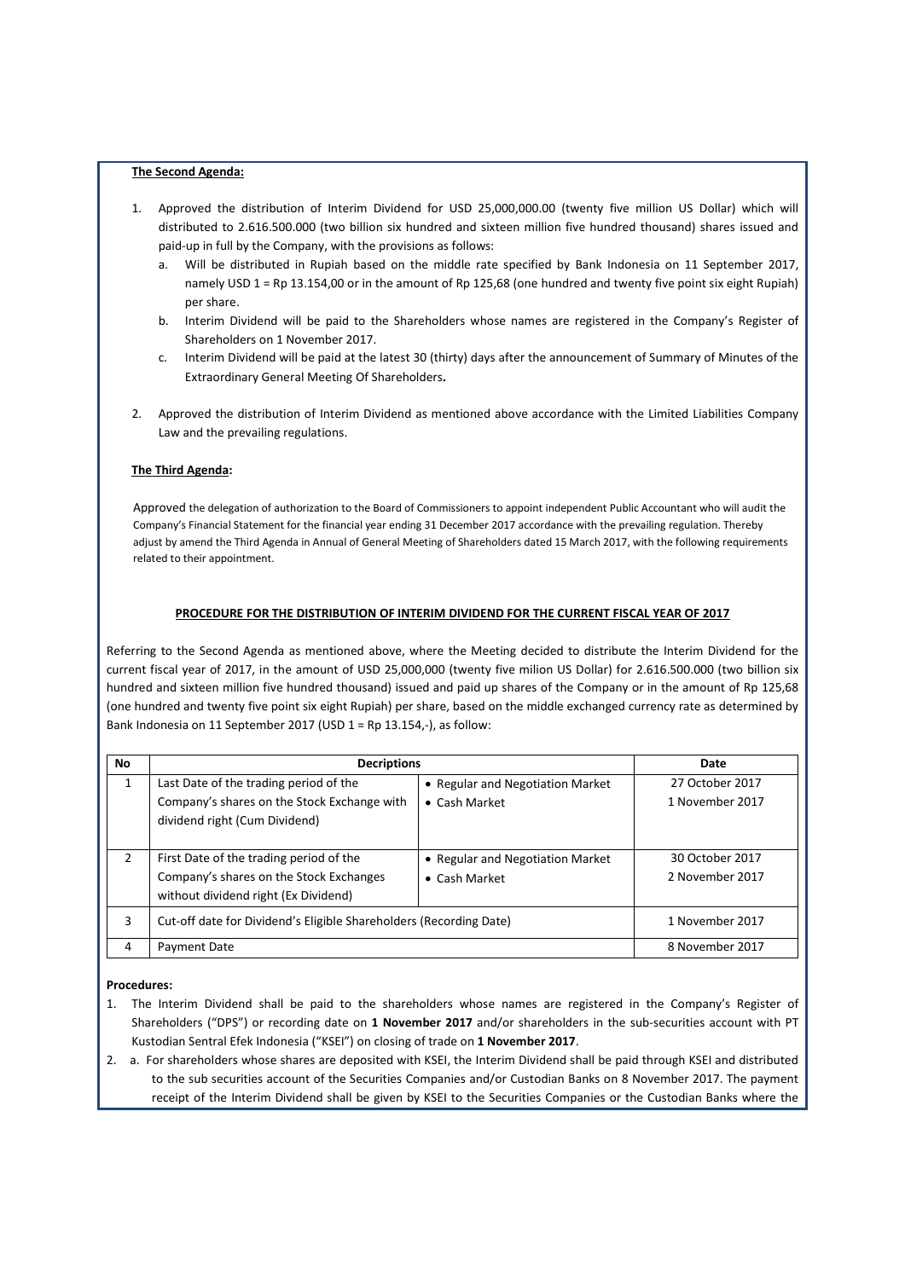### **The Second Agenda:**

- 1. Approved the distribution of Interim Dividend for USD 25,000,000.00 (twenty five million US Dollar) which will distributed to 2.616.500.000 (two billion six hundred and sixteen million five hundred thousand) shares issued and paid-up in full by the Company, with the provisions as follows:
	- a. Will be distributed in Rupiah based on the middle rate specified by Bank Indonesia on 11 September 2017, namely USD 1 = Rp 13.154,00 or in the amount of Rp 125,68 (one hundred and twenty five point six eight Rupiah) per share.
	- b. Interim Dividend will be paid to the Shareholders whose names are registered in the Company's Register of Shareholders on 1 November 2017.
	- c. Interim Dividend will be paid at the latest 30 (thirty) days after the announcement of Summary of Minutes of the Extraordinary General Meeting Of Shareholders**.**
- 2. Approved the distribution of Interim Dividend as mentioned above accordance with the Limited Liabilities Company Law and the prevailing regulations.

## **The Third Agenda:**

Approved the delegation of authorization to the Board of Commissioners to appoint independent Public Accountant who will audit the Company's Financial Statement for the financial year ending 31 December 2017 accordance with the prevailing regulation. Thereby adjust by amend the Third Agenda in Annual of General Meeting of Shareholders dated 15 March 2017, with the following requirements related to their appointment.

# **PROCEDURE FOR THE DISTRIBUTION OF INTERIM DIVIDEND FOR THE CURRENT FISCAL YEAR OF 2017**

Referring to the Second Agenda as mentioned above, where the Meeting decided to distribute the Interim Dividend for the current fiscal year of 2017, in the amount of USD 25,000,000 (twenty five milion US Dollar) for 2.616.500.000 (two billion six hundred and sixteen million five hundred thousand) issued and paid up shares of the Company or in the amount of Rp 125,68 (one hundred and twenty five point six eight Rupiah) per share, based on the middle exchanged currency rate as determined by Bank Indonesia on 11 September 2017 (USD 1 = Rp 13.154,-), as follow:

| <b>No</b> | <b>Decriptions</b>                                                           | Date                             |                 |
|-----------|------------------------------------------------------------------------------|----------------------------------|-----------------|
| 1         | Last Date of the trading period of the                                       | • Regular and Negotiation Market | 27 October 2017 |
|           | Company's shares on the Stock Exchange with<br>dividend right (Cum Dividend) | • Cash Market                    | 1 November 2017 |
| 2         | First Date of the trading period of the                                      | • Regular and Negotiation Market | 30 October 2017 |
|           | Company's shares on the Stock Exchanges                                      | $\bullet$ Cash Market            | 2 November 2017 |
|           | without dividend right (Ex Dividend)                                         |                                  |                 |
| 3         | Cut-off date for Dividend's Eligible Shareholders (Recording Date)           |                                  | 1 November 2017 |
| 4         | Payment Date                                                                 | 8 November 2017                  |                 |

## **Procedures:**

- 1. The Interim Dividend shall be paid to the shareholders whose names are registered in the Company's Register of Shareholders ("DPS") or recording date on **1 November 2017** and/or shareholders in the sub‐securities account with PT Kustodian Sentral Efek Indonesia ("KSEI") on closing of trade on **1 November 2017**.
- 2. a. For shareholders whose shares are deposited with KSEI, the Interim Dividend shall be paid through KSEI and distributed to the sub securities account of the Securities Companies and/or Custodian Banks on 8 November 2017. The payment receipt of the Interim Dividend shall be given by KSEI to the Securities Companies or the Custodian Banks where the